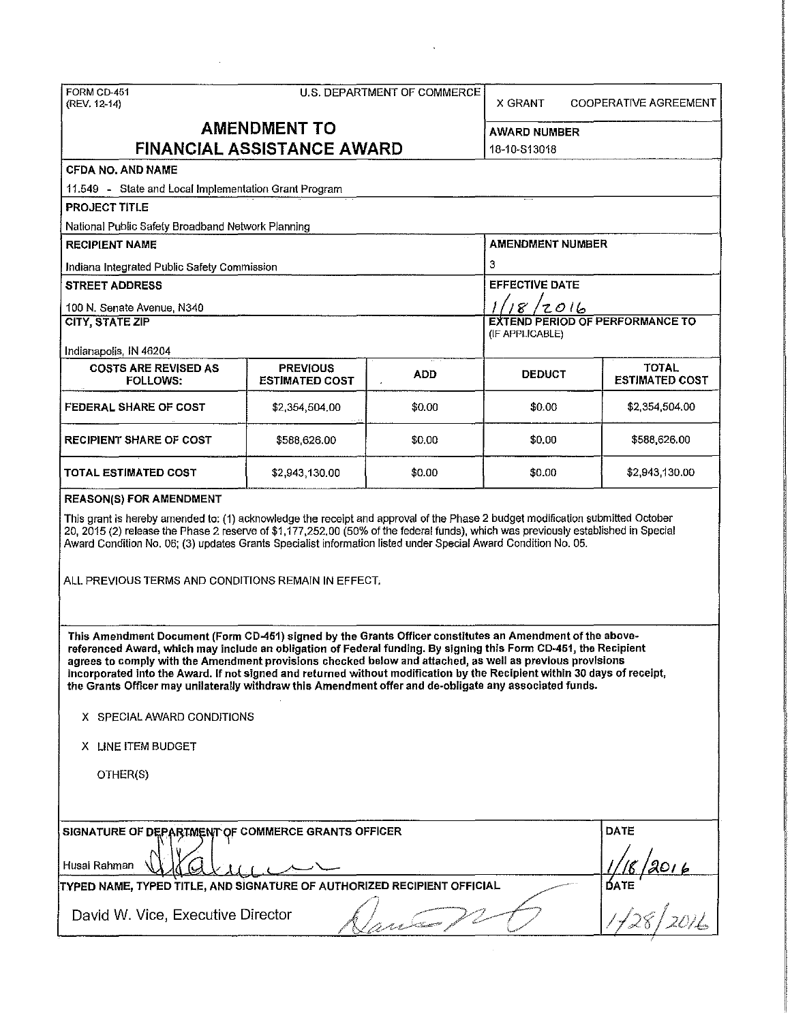| FORM CD-451<br>(REV. 12-14)                                                                                                                                                                                                                                                                                                                                                                                                                                                                                                                                                       | <b>COOPERATIVE AGREEMENT</b>     |            |                       |                                        |  |  |  |  |
|-----------------------------------------------------------------------------------------------------------------------------------------------------------------------------------------------------------------------------------------------------------------------------------------------------------------------------------------------------------------------------------------------------------------------------------------------------------------------------------------------------------------------------------------------------------------------------------|----------------------------------|------------|-----------------------|----------------------------------------|--|--|--|--|
| <b>AMENDMENT TO</b><br><b>FINANCIAL ASSISTANCE AWARD</b>                                                                                                                                                                                                                                                                                                                                                                                                                                                                                                                          | AWARD NUMBER<br>18-10-S13018     |            |                       |                                        |  |  |  |  |
| <b>CFDA NO. AND NAME</b>                                                                                                                                                                                                                                                                                                                                                                                                                                                                                                                                                          |                                  |            |                       |                                        |  |  |  |  |
| 11.549 - State and Local Implementation Grant Program                                                                                                                                                                                                                                                                                                                                                                                                                                                                                                                             |                                  |            |                       |                                        |  |  |  |  |
| <b>PROJECT TITLE</b>                                                                                                                                                                                                                                                                                                                                                                                                                                                                                                                                                              |                                  |            |                       |                                        |  |  |  |  |
| National Public Safety Broadband Network Planning                                                                                                                                                                                                                                                                                                                                                                                                                                                                                                                                 |                                  |            |                       |                                        |  |  |  |  |
| <b>RECIPIENT NAME</b>                                                                                                                                                                                                                                                                                                                                                                                                                                                                                                                                                             |                                  |            | AMENDMENT NUMBER      |                                        |  |  |  |  |
| Indiana Integrated Public Safety Commission                                                                                                                                                                                                                                                                                                                                                                                                                                                                                                                                       |                                  |            | 3                     |                                        |  |  |  |  |
| <b>STREET ADDRESS</b>                                                                                                                                                                                                                                                                                                                                                                                                                                                                                                                                                             |                                  |            | <b>EFFECTIVE DATE</b> |                                        |  |  |  |  |
| 100 N. Senate Avenue, N340                                                                                                                                                                                                                                                                                                                                                                                                                                                                                                                                                        |                                  |            | 18/2016               |                                        |  |  |  |  |
| <b>CITY, STATE ZIP</b>                                                                                                                                                                                                                                                                                                                                                                                                                                                                                                                                                            |                                  |            | (IF APPLICABLE)       | <b>EXTEND PERIOD OF PERFORMANCE TO</b> |  |  |  |  |
| Indianapolis, IN 46204<br><b>COSTS ARE REVISED AS</b>                                                                                                                                                                                                                                                                                                                                                                                                                                                                                                                             | <b>PREVIOUS</b>                  |            |                       | <b>TOTAL</b>                           |  |  |  |  |
| <b>FOLLOWS:</b>                                                                                                                                                                                                                                                                                                                                                                                                                                                                                                                                                                   | <b>ESTIMATED COST</b>            | <b>ADD</b> | <b>DEDUCT</b>         | <b>ESTIMATED COST</b>                  |  |  |  |  |
| <b>FEDERAL SHARE OF COST</b>                                                                                                                                                                                                                                                                                                                                                                                                                                                                                                                                                      | \$2,354,504.00                   | \$0.00     | <b>\$0.00</b>         | \$2,354,504.00                         |  |  |  |  |
| <b>RECIPIENT SHARE OF COST</b>                                                                                                                                                                                                                                                                                                                                                                                                                                                                                                                                                    | \$0,00<br>\$588,626.00<br>\$0.00 |            |                       |                                        |  |  |  |  |
| TOTAL ESTIMATED COST                                                                                                                                                                                                                                                                                                                                                                                                                                                                                                                                                              | \$2,943,130.00                   |            |                       |                                        |  |  |  |  |
| <b>REASON(S) FOR AMENDMENT</b>                                                                                                                                                                                                                                                                                                                                                                                                                                                                                                                                                    |                                  |            |                       |                                        |  |  |  |  |
| This grant is hereby amended to: (1) acknowledge the receipt and approval of the Phase 2 budget modification submitted October<br>20, 2015 (2) release the Phase 2 reserve of \$1,177,252.00 (50% of the federal funds), which was previously established in Special<br>Award Condition No. 06; (3) updates Grants Specialist information listed under Special Award Condition No. 05.<br>ALL PREVIOUS TERMS AND CONDITIONS REMAIN IN EFFECT.                                                                                                                                     |                                  |            |                       |                                        |  |  |  |  |
| This Amendment Document (Form CD-451) signed by the Grants Officer constitutes an Amendment of the above-<br>referenced Award, which may include an obligation of Federal funding. By signing this Form CD-451, the Recipient<br>agrees to comply with the Amendment provisions checked below and attached, as well as previous provisions<br>incorporated into the Award. If not signed and returned without modification by the Recipient within 30 days of receipt,<br>the Grants Officer may unilaterally withdraw this Amendment offer and de-obligate any associated funds. |                                  |            |                       |                                        |  |  |  |  |
| X SPECIAL AWARD CONDITIONS<br>X LINE ITEM BUDGET                                                                                                                                                                                                                                                                                                                                                                                                                                                                                                                                  |                                  |            |                       |                                        |  |  |  |  |
|                                                                                                                                                                                                                                                                                                                                                                                                                                                                                                                                                                                   |                                  |            |                       |                                        |  |  |  |  |
| OTHER(S)                                                                                                                                                                                                                                                                                                                                                                                                                                                                                                                                                                          |                                  |            |                       |                                        |  |  |  |  |
| SIGNATURE OF DEPARTMENT OF COMMERCE GRANTS OFFICER                                                                                                                                                                                                                                                                                                                                                                                                                                                                                                                                |                                  |            |                       | <b>DATE</b>                            |  |  |  |  |
| Husai Rahman                                                                                                                                                                                                                                                                                                                                                                                                                                                                                                                                                                      | '2016                            |            |                       |                                        |  |  |  |  |
| TYPED NAME, TYPED TITLE, AND SIGNATURE OF AUTHORIZED RECIPIENT OFFICIAL                                                                                                                                                                                                                                                                                                                                                                                                                                                                                                           |                                  |            |                       |                                        |  |  |  |  |
| David W. Vice, Executive Director                                                                                                                                                                                                                                                                                                                                                                                                                                                                                                                                                 |                                  |            |                       | $\frac{1}{\text{BATE}}$                |  |  |  |  |
|                                                                                                                                                                                                                                                                                                                                                                                                                                                                                                                                                                                   |                                  |            |                       |                                        |  |  |  |  |

 $\mathcal{L}^{\text{max}}_{\text{max}}$  and  $\mathcal{L}^{\text{max}}_{\text{max}}$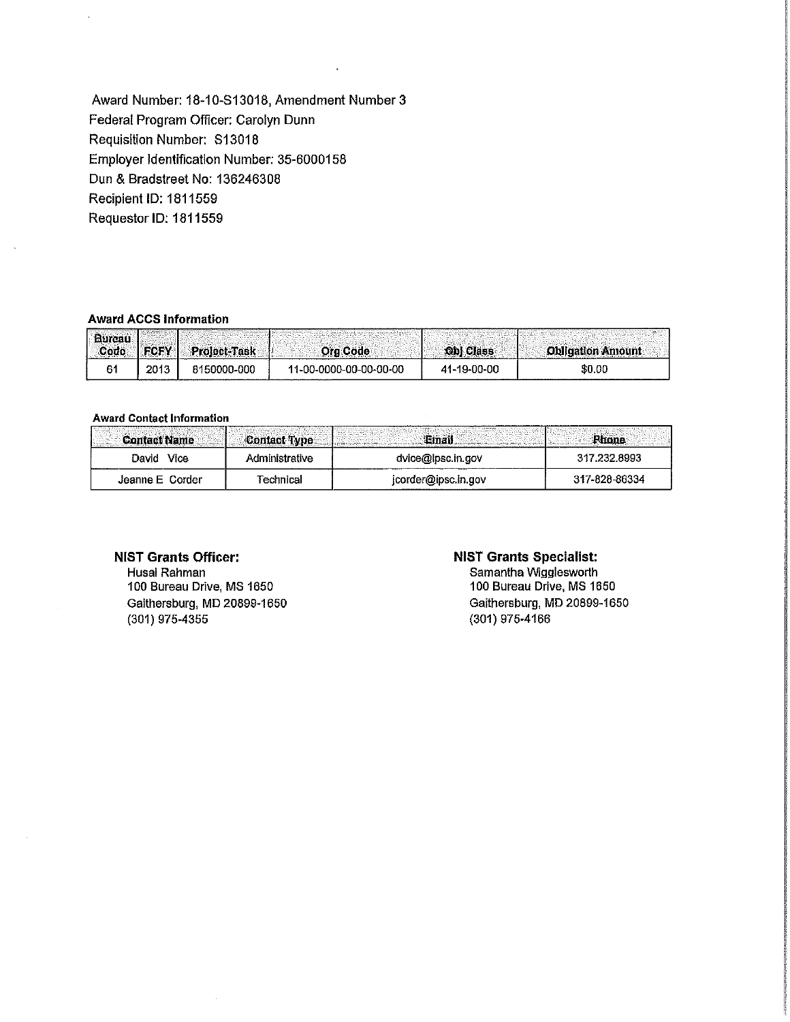Award Number: 18-10-813018, Amendment Number 3 Federal Program Officer: Carolyn Dunn Requisition Number: 813018 Employer Identification Number: 35-6000158 Dun & Bradstreet No: 136246308 Recipient ID: 1811559 Requestor ID: 1811559

### Award ACCS Information

| ---------------------------------- |             |              |                        |                  |                          |
|------------------------------------|-------------|--------------|------------------------|------------------|--------------------------|
| Burcau<br>- Code -                 | <b>COCV</b> | Proloct-Task | <b>Ora Code</b>        | <b>Obl Class</b> | <b>Obligation Amount</b> |
|                                    | 2013        | 8150000-000  | 11-00-0000-00-00-00-00 | 41-19-00-00      | \$0.00                   |

#### **Award Contact Information**

| <b>Contact Name</b> |                |                     |               |
|---------------------|----------------|---------------------|---------------|
| Vice<br>David       | Administrative | dvice@lpsc.in.gov   | 317.232 8993  |
| Jeanne E Corder     | Technical      | jcorder@ipsc.in.gov | 317-828-86334 |

# NIST Grants Officer:

Husai Rahman 100 Bureau Drive, MS 1650 Gaithersburg, MD 20899-1650 (301) 975-4355

### NIST Grants Specialist:

Samantha Wigglesworth 100 Bureau Drive, MS 1650 Gaithersburg, MD 20899-1650 (301) 975-4166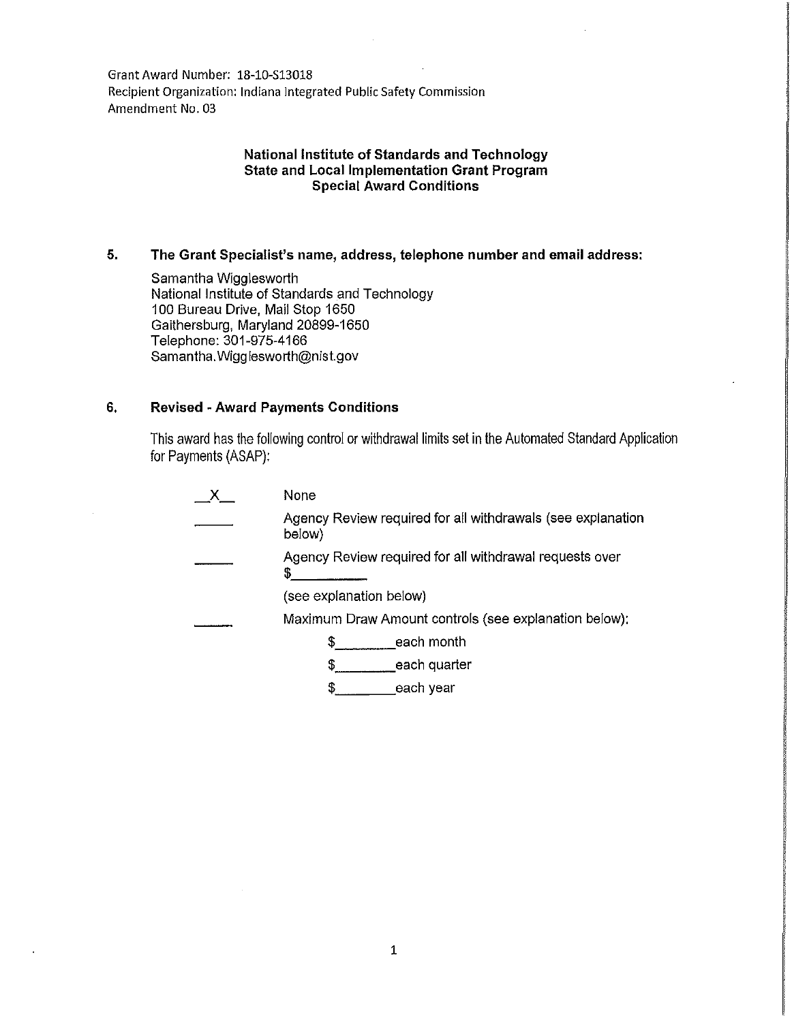Grant Award Number: 18-10-513018 Recipient Organization: Indiana Integrated Public Safety Commission Amendment No. 03

# **National Institute of Standards and Technology State and Local Implementation Grant Program Special Award Conditions**

## **5. The Grant Specialist's name, address, telephone number and email address:**

Samantha Wigglesworth National Institute of Standards and Technology 100 Bureau Drive, Mail Stop 1650 Gaithersburg, Maryland 20899-1650 Telephone: 301-975-4166 Samantha. Wigg lesworth@nist.gov

### **6. Revised ·Award Payments Conditions**

This award has the following control or withdrawal limits set in the Automated Standard Application for Payments (ASAP):

| None                                                                  |
|-----------------------------------------------------------------------|
| Agency Review required for all withdrawals (see explanation<br>below) |
| Agency Review required for all withdrawal requests over<br>5          |
| (see explanation below)                                               |
| Maximum Draw Amount controls (see explanation below):                 |
| each month                                                            |
| each quarter                                                          |
| \$<br>each year                                                       |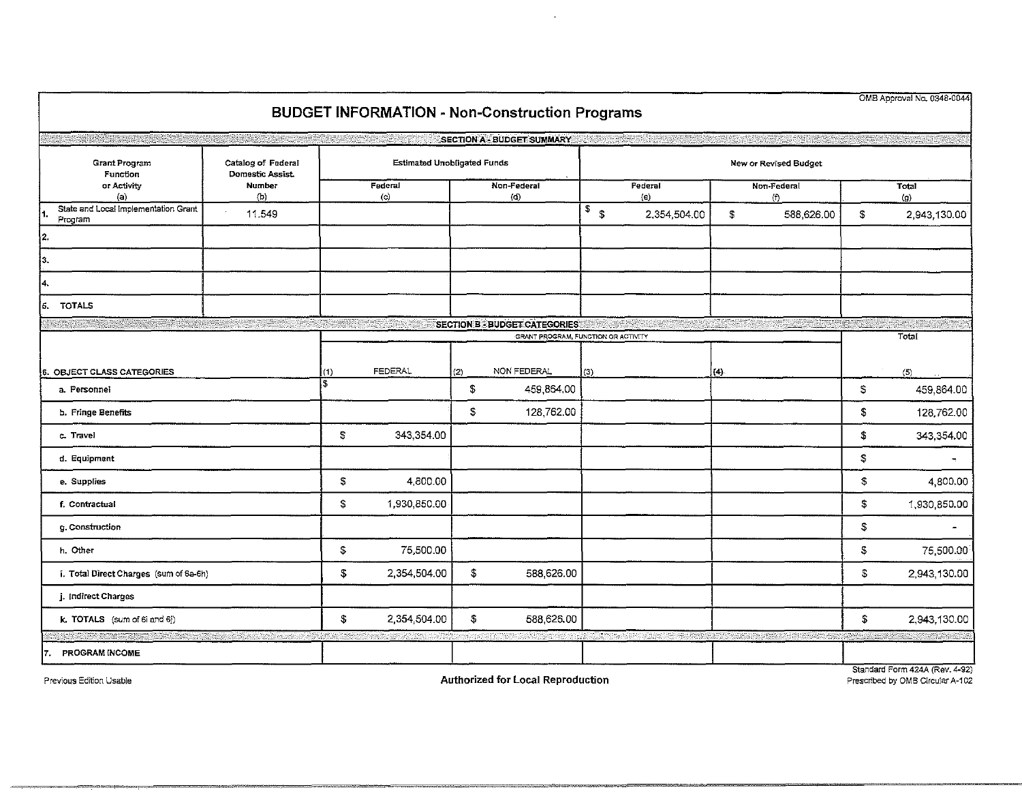|                                                                |        |                |                                    |                       | <b>BUDGET INFORMATION - Non-Construction Programs</b>                       |                       |              |                    |            |            | OMB Approval No. 0348-0044     |
|----------------------------------------------------------------|--------|----------------|------------------------------------|-----------------------|-----------------------------------------------------------------------------|-----------------------|--------------|--------------------|------------|------------|--------------------------------|
|                                                                |        |                |                                    |                       | <b>SECTION A - BUDGET SUMMARY</b>                                           |                       |              |                    |            |            |                                |
| <b>Grant Program</b><br>Catalog of Federal<br>Domestic Assist. |        |                | <b>Estimated Unobligated Funds</b> |                       |                                                                             | New or Revised Budget |              |                    |            |            |                                |
| Function<br><b>Number</b><br>or Activity<br>(b)<br>(a)         |        | Federal<br>(c) |                                    | Non-Federal<br>$\phi$ |                                                                             | Federal<br>(e)        |              | Non-Federal<br>(1) |            |            | Total<br>$\left( 9\right)$     |
| State and Local Implementation Grant<br>1.<br>Program          | 11.549 |                |                                    |                       |                                                                             | $\sqrt{s}$            | 2,354,504.00 | \$                 | 588,626.00 | \$         | 2,943,130.00                   |
| 2.                                                             |        |                |                                    |                       |                                                                             |                       |              |                    |            |            |                                |
| jз.                                                            |        |                |                                    |                       |                                                                             |                       |              |                    |            |            |                                |
| 4.                                                             |        |                |                                    |                       |                                                                             |                       |              |                    |            |            |                                |
| <b>TOTALS</b><br>is.                                           |        |                |                                    |                       |                                                                             |                       |              |                    |            |            |                                |
|                                                                |        |                |                                    |                       | <b>SECTION B - BUDGET CATEGORIES</b><br>GRANT PROGRAM, FUNCTION OR ACTIVITY |                       |              |                    |            | Total      |                                |
|                                                                |        |                |                                    |                       |                                                                             |                       |              |                    |            |            |                                |
| <b>5. OBJECT CLASS CATEGORIES</b>                              |        | (1)            | <b>FEDERAL</b>                     | (2)                   | NON FEDERAL                                                                 | (3)                   |              | (4)                |            |            | (5)                            |
| a. Personnel                                                   |        |                |                                    | \$                    | 459,864.00                                                                  |                       |              |                    |            | \$         | 459,864.00                     |
| b. Fringe Benefits                                             |        |                |                                    | \$                    | 128,762.00                                                                  |                       |              |                    |            | \$         | 128,762.00                     |
| c. Travel                                                      |        | \$             | 343,354.00                         |                       |                                                                             |                       |              |                    |            | \$         | 343,354.00                     |
| d. Equipment                                                   |        |                |                                    |                       |                                                                             |                       |              |                    |            | \$         |                                |
| e. Supplies                                                    |        | \$             | 4,800.00                           |                       |                                                                             |                       |              |                    |            | $\pmb{\$}$ | 4,800.00                       |
| f. Contractual                                                 |        | \$             | 1,930,850.00                       |                       |                                                                             |                       |              |                    |            | \$         | 1,930,850.00                   |
| g. Construction                                                |        |                |                                    |                       |                                                                             |                       |              |                    |            | \$         |                                |
| h. Other                                                       |        | \$             | 75,500.00                          |                       |                                                                             |                       |              |                    |            | \$         | 75,500.00                      |
| i. Total Direct Charges (sum of 6a-6h)                         |        | \$             | 2,354,504.00                       | $\pmb{\mathbb{S}}$    | 588,626.00                                                                  |                       |              |                    |            | $\sqrt{2}$ | 2,943,130.00                   |
| j. Indirect Charges                                            |        |                |                                    |                       |                                                                             |                       |              |                    |            |            |                                |
| k. TOTALS (sum of 6i and 6j)                                   |        | \$             | 2,354,504.00                       | $\mathfrak{F}$        | 588,626.00                                                                  |                       |              |                    |            | \$         | 2,943,130.00                   |
|                                                                |        |                |                                    |                       |                                                                             |                       |              |                    |            |            |                                |
| PROGRAM INCOME<br>17.                                          |        |                |                                    |                       |                                                                             |                       |              |                    |            |            | Standard Form 424A (Rev. 4-92) |

 $\sim$ 

=------===== ="""'"-""''

Previous Edition Usable Prescribed by OMB Circular A-102